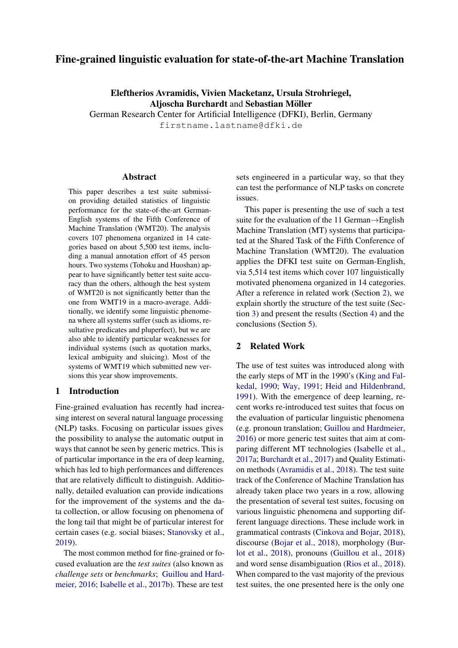# <span id="page-0-1"></span>Fine-grained linguistic evaluation for state-of-the-art Machine Translation

Eleftherios Avramidis, Vivien Macketanz, Ursula Strohriegel, Aljoscha Burchardt and Sebastian Möller German Research Center for Artificial Intelligence (DFKI), Berlin, Germany firstname.lastname@dfki.de

#### Abstract

This paper describes a test suite submission providing detailed statistics of linguistic performance for the state-of-the-art German-English systems of the Fifth Conference of Machine Translation (WMT20). The analysis covers 107 phenomena organized in 14 categories based on about 5,500 test items, including a manual annotation effort of 45 person hours. Two systems (Tohoku and Huoshan) appear to have significantly better test suite accuracy than the others, although the best system of WMT20 is not significantly better than the one from WMT19 in a macro-average. Additionally, we identify some linguistic phenomena where all systems suffer (such as idioms, resultative predicates and pluperfect), but we are also able to identify particular weaknesses for individual systems (such as quotation marks, lexical ambiguity and sluicing). Most of the systems of WMT19 which submitted new versions this year show improvements.

## 1 Introduction

Fine-grained evaluation has recently had increasing interest on several natural language processing (NLP) tasks. Focusing on particular issues gives the possibility to analyse the automatic output in ways that cannot be seen by generic metrics. This is of particular importance in the era of deep learning, which has led to high performances and differences that are relatively difficult to distinguish. Additionally, detailed evaluation can provide indications for the improvement of the systems and the data collection, or allow focusing on phenomena of the long tail that might be of particular interest for certain cases (e.g. social biases; [Stanovsky et al.,](#page-6-0) [2019\)](#page-6-0).

The most common method for fine-grained or focused evaluation are the *test suites* (also known as *challenge sets* or *benchmarks*; [Guillou and Hard](#page-5-0)[meier,](#page-5-0) [2016;](#page-5-0) [Isabelle et al.,](#page-6-1) [2017b\)](#page-6-1). These are test

sets engineered in a particular way, so that they can test the performance of NLP tasks on concrete issues.

This paper is presenting the use of such a test suite for the evaluation of the 11 German→English Machine Translation (MT) systems that participated at the Shared Task of the Fifth Conference of Machine Translation (WMT20). The evaluation applies the DFKI test suite on German-English, via 5,514 test items which cover 107 linguistically motivated phenomena organized in 14 categories. After a reference in related work (Section [2\)](#page-0-0), we explain shortly the structure of the test suite (Section [3\)](#page-1-0) and present the results (Section [4\)](#page-2-0) and the conclusions (Section [5\)](#page-5-1).

## <span id="page-0-0"></span>2 Related Work

The use of test suites was introduced along with the early steps of MT in the 1990's [\(King and Fal](#page-6-2)[kedal,](#page-6-2) [1990;](#page-6-2) [Way,](#page-6-3) [1991;](#page-6-3) [Heid and Hildenbrand,](#page-5-2) [1991\)](#page-5-2). With the emergence of deep learning, recent works re-introduced test suites that focus on the evaluation of particular linguistic phenomena (e.g. pronoun translation; [Guillou and Hardmeier,](#page-5-0) [2016\)](#page-5-0) or more generic test suites that aim at comparing different MT technologies [\(Isabelle et al.,](#page-5-3) [2017a;](#page-5-3) [Burchardt et al.,](#page-5-4) [2017\)](#page-5-4) and Quality Estimation methods [\(Avramidis et al.,](#page-5-5) [2018\)](#page-5-5). The test suite track of the Conference of Machine Translation has already taken place two years in a row, allowing the presentation of several test suites, focusing on various linguistic phenomena and supporting different language directions. These include work in grammatical contrasts [\(Cinkova and Bojar,](#page-5-6) [2018\)](#page-5-6), discourse [\(Bojar et al.,](#page-5-7) [2018\)](#page-5-7), morphology [\(Bur](#page-5-8)[lot et al.,](#page-5-8) [2018\)](#page-5-8), pronouns [\(Guillou et al.,](#page-5-9) [2018\)](#page-5-9) and word sense disambiguation [\(Rios et al.,](#page-6-4) [2018\)](#page-6-4). When compared to the vast majority of the previous test suites, the one presented here is the only one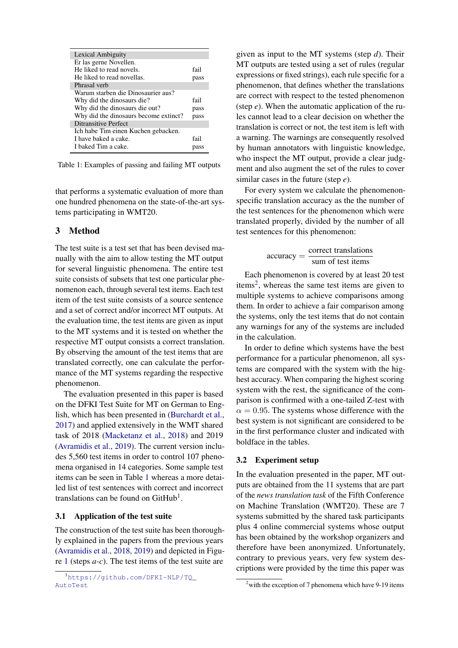<span id="page-1-1"></span>

| Lexical Ambiguity                     |      |
|---------------------------------------|------|
| Er las gerne Novellen.                |      |
| He liked to read novels.              | fail |
| He liked to read novellas.            | pass |
| Phrasal verb                          |      |
| Warum starben die Dinosaurier aus?    |      |
| Why did the dinosaurs die?            | fail |
| Why did the dinosaurs die out?        | pass |
| Why did the dinosaurs become extinct? | pass |
| <b>Ditransitive Perfect</b>           |      |
| Ich habe Tim einen Kuchen gebacken.   |      |
| I have baked a cake.                  | fail |
| I baked Tim a cake.                   | pass |

Table 1: Examples of passing and failing MT outputs

that performs a systematic evaluation of more than one hundred phenomena on the state-of-the-art systems participating in WMT20.

## <span id="page-1-0"></span>3 Method

The test suite is a test set that has been devised manually with the aim to allow testing the MT output for several linguistic phenomena. The entire test suite consists of subsets that test one particular phenomenon each, through several test items. Each test item of the test suite consists of a source sentence and a set of correct and/or incorrect MT outputs. At the evaluation time, the test items are given as input to the MT systems and it is tested on whether the respective MT output consists a correct translation. By observing the amount of the test items that are translated correctly, one can calculate the performance of the MT systems regarding the respective phenomenon.

The evaluation presented in this paper is based on the DFKI Test Suite for MT on German to English, which has been presented in [\(Burchardt et al.,](#page-5-4) [2017\)](#page-5-4) and applied extensively in the WMT shared task of 2018 [\(Macketanz et al.,](#page-6-5) [2018\)](#page-6-5) and 2019 [\(Avramidis et al.,](#page-5-10) [2019\)](#page-5-10). The current version includes 5,560 test items in order to control 107 phenomena organised in 14 categories. Some sample test items can be seen in Table [1](#page-1-1) whereas a more detailed list of test sentences with correct and incorrect translations can be found on  $G$ itHub<sup>[1](#page-0-1)</sup>.

#### 3.1 Application of the test suite

The construction of the test suite has been thoroughly explained in the papers from the previous years [\(Avramidis et al.,](#page-5-5) [2018,](#page-5-5) [2019\)](#page-5-10) and depicted in Figure [1](#page-2-1) (steps *a-c*). The test items of the test suite are given as input to the MT systems (step *d*). Their MT outputs are tested using a set of rules (regular expressions or fixed strings), each rule specific for a phenomenon, that defines whether the translations are correct with respect to the tested phenomenon (step *e*). When the automatic application of the rules cannot lead to a clear decision on whether the translation is correct or not, the test item is left with a warning. The warnings are consequently resolved by human annotators with linguistic knowledge, who inspect the MT output, provide a clear judgment and also augment the set of the rules to cover similar cases in the future (step *e*).

For every system we calculate the phenomenonspecific translation accuracy as the the number of the test sentences for the phenomenon which were translated properly, divided by the number of all test sentences for this phenomenon:

$$
accuracy = \frac{correct\ translations}{sum\ of\ test\ items}
$$

Each phenomenon is covered by at least 20 test items<sup>[2](#page-0-1)</sup>, whereas the same test items are given to multiple systems to achieve comparisons among them. In order to achieve a fair comparison among the systems, only the test items that do not contain any warnings for any of the systems are included in the calculation.

In order to define which systems have the best performance for a particular phenomenon, all systems are compared with the system with the highest accuracy. When comparing the highest scoring system with the rest, the significance of the comparison is confirmed with a one-tailed Z-test with  $\alpha = 0.95$ . The systems whose difference with the best system is not significant are considered to be in the first performance cluster and indicated with boldface in the tables.

## 3.2 Experiment setup

In the evaluation presented in the paper, MT outputs are obtained from the 11 systems that are part of the *news translation task* of the Fifth Conference on Machine Translation (WMT20). These are 7 systems submitted by the shared task participants plus 4 online commercial systems whose output has been obtained by the workshop organizers and therefore have been anonymized. Unfortunately, contrary to previous years, very few system descriptions were provided by the time this paper was

<sup>1</sup>[https://github.com/DFKI-NLP/TQ\\_](https://github.com/DFKI-NLP/TQ_AutoTest) [AutoTest](https://github.com/DFKI-NLP/TQ_AutoTest)

 $2$  with the exception of 7 phenomena which have 9-19 items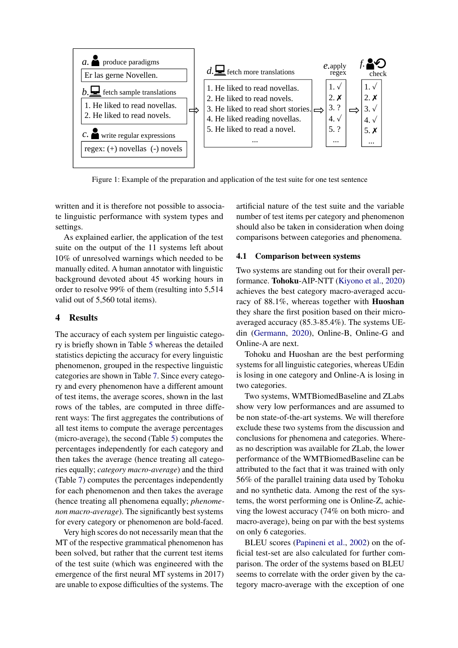<span id="page-2-1"></span>

Figure 1: Example of the preparation and application of the test suite for one test sentence

written and it is therefore not possible to associate linguistic performance with system types and settings.

As explained earlier, the application of the test suite on the output of the 11 systems left about 10% of unresolved warnings which needed to be manually edited. A human annotator with linguistic background devoted about 45 working hours in order to resolve 99% of them (resulting into 5,514 valid out of 5,560 total items).

## <span id="page-2-0"></span>4 Results

The accuracy of each system per linguistic category is briefly shown in Table [5](#page-7-0) whereas the detailed statistics depicting the accuracy for every linguistic phenomenon, grouped in the respective linguistic categories are shown in Table [7.](#page-8-0) Since every category and every phenomenon have a different amount of test items, the average scores, shown in the last rows of the tables, are computed in three different ways: The first aggregates the contributions of all test items to compute the average percentages (micro-average), the second (Table [5\)](#page-7-0) computes the percentages independently for each category and then takes the average (hence treating all categories equally; *category macro-average*) and the third (Table [7\)](#page-8-0) computes the percentages independently for each phenomenon and then takes the average (hence treating all phenomena equally; *phenomenon macro-average*). The significantly best systems for every category or phenomenon are bold-faced.

Very high scores do not necessarily mean that the MT of the respective grammatical phenomenon has been solved, but rather that the current test items of the test suite (which was engineered with the emergence of the first neural MT systems in 2017) are unable to expose difficulties of the systems. The artificial nature of the test suite and the variable number of test items per category and phenomenon should also be taken in consideration when doing comparisons between categories and phenomena.

## 4.1 Comparison between systems

Two systems are standing out for their overall performance. Tohoku-AIP-NTT [\(Kiyono et al.,](#page-6-6) [2020\)](#page-6-6) achieves the best category macro-averaged accuracy of 88.1%, whereas together with Huoshan they share the first position based on their microaveraged accuracy (85.3-85.4%). The systems UEdin [\(Germann,](#page-5-11) [2020\)](#page-5-11), Online-B, Online-G and Online-A are next.

Tohoku and Huoshan are the best performing systems for all linguistic categories, whereas UEdin is losing in one category and Online-A is losing in two categories.

Two systems, WMTBiomedBaseline and ZLabs show very low performances and are assumed to be non state-of-the-art systems. We will therefore exclude these two systems from the discussion and conclusions for phenomena and categories. Whereas no description was available for ZLab, the lower performance of the WMTBiomedBaseline can be attributed to the fact that it was trained with only 56% of the parallel training data used by Tohoku and no synthetic data. Among the rest of the systems, the worst performing one is Online-Z, achieving the lowest accuracy (74% on both micro- and macro-average), being on par with the best systems on only 6 categories.

BLEU scores [\(Papineni et al.,](#page-6-7) [2002\)](#page-6-7) on the official test-set are also calculated for further comparison. The order of the systems based on BLEU seems to correlate with the order given by the category macro-average with the exception of one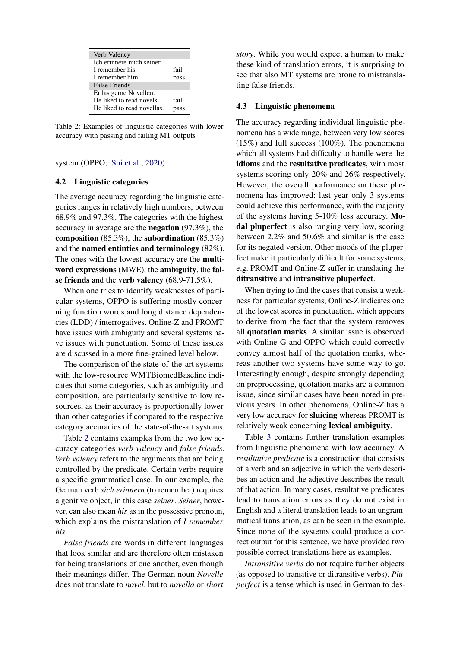<span id="page-3-0"></span>

| Verb Valency               |      |
|----------------------------|------|
| Ich erinnere mich seiner.  |      |
| I remember his.            | fail |
| I remember him.            | pass |
| <b>False Friends</b>       |      |
| Er las gerne Novellen.     |      |
| He liked to read novels.   | fail |
| He liked to read novellas. |      |

Table 2: Examples of linguistic categories with lower accuracy with passing and failing MT outputs

system (OPPO; [Shi et al.,](#page-6-8) [2020\)](#page-6-8).

#### 4.2 Linguistic categories

The average accuracy regarding the linguistic categories ranges in relatively high numbers, between 68.9% and 97.3%. The categories with the highest accuracy in average are the negation (97.3%), the composition (85.3%), the subordination (85.3%) and the named entinties and terminology (82%). The ones with the lowest accuracy are the multiword expressions (MWE), the ambiguity, the false friends and the verb valency (68.9-71.5%).

When one tries to identify weaknesses of particular systems, OPPO is suffering mostly concerning function words and long distance dependencies (LDD) / interrogatives. Online-Z and PROMT have issues with ambiguity and several systems have issues with punctuation. Some of these issues are discussed in a more fine-grained level below.

The comparison of the state-of-the-art systems with the low-resource WMTBiomedBaseline indicates that some categories, such as ambiguity and composition, are particularly sensitive to low resources, as their accuracy is proportionally lower than other categories if compared to the respective category accuracies of the state-of-the-art systems.

Table [2](#page-3-0) contains examples from the two low accuracy categories *verb valency* and *false friends*. *Verb valency* refers to the arguments that are being controlled by the predicate. Certain verbs require a specific grammatical case. In our example, the German verb *sich erinnern* (to remember) requires a genitive object, in this case *seiner*. *Seiner*, however, can also mean *his* as in the possessive pronoun, which explains the mistranslation of *I remember his*.

*False friends* are words in different languages that look similar and are therefore often mistaken for being translations of one another, even though their meanings differ. The German noun *Novelle* does not translate to *novel*, but to *novella* or *short* *story*. While you would expect a human to make these kind of translation errors, it is surprising to see that also MT systems are prone to mistranslating false friends.

#### 4.3 Linguistic phenomena

The accuracy regarding individual linguistic phenomena has a wide range, between very low scores (15%) and full success (100%). The phenomena which all systems had difficulty to handle were the idioms and the resultative predicates, with most systems scoring only 20% and 26% respectively. However, the overall performance on these phenomena has improved: last year only 3 systems could achieve this performance, with the majority of the systems having 5-10% less accuracy. Modal pluperfect is also ranging very low, scoring between 2.2% and 50.6% and similar is the case for its negated version. Other moods of the pluperfect make it particularly difficult for some systems, e.g. PROMT and Online-Z suffer in translating the ditransitive and intransitive pluperfect.

When trying to find the cases that consist a weakness for particular systems, Online-Z indicates one of the lowest scores in punctuation, which appears to derive from the fact that the system removes all quotation marks. A similar issue is observed with Online-G and OPPO which could correctly convey almost half of the quotation marks, whereas another two systems have some way to go. Interestingly enough, despite strongly depending on preprocessing, quotation marks are a common issue, since similar cases have been noted in previous years. In other phenomena, Online-Z has a very low accuracy for sluicing whereas PROMT is relatively weak concerning lexical ambiguity.

Table [3](#page-4-0) contains further translation examples from linguistic phenomena with low accuracy. A *resultative predicate* is a construction that consists of a verb and an adjective in which the verb describes an action and the adjective describes the result of that action. In many cases, resultative predicates lead to translation errors as they do not exist in English and a literal translation leads to an ungrammatical translation, as can be seen in the example. Since none of the systems could produce a correct output for this sentence, we have provided two possible correct translations here as examples.

*Intransitive verbs* do not require further objects (as opposed to transitive or ditransitive verbs). *Pluperfect* is a tense which is used in German to des-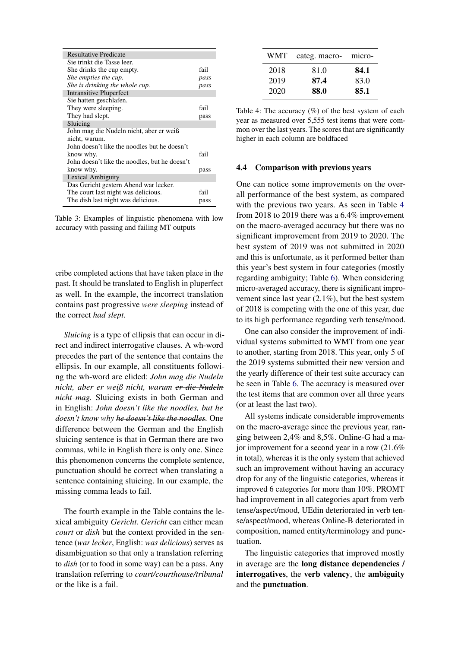<span id="page-4-0"></span>

| <b>Resultative Predicate</b>                  |      |
|-----------------------------------------------|------|
| Sie trinkt die Tasse leer.                    |      |
| She drinks the cup empty.                     | fail |
| She empties the cup.                          | pass |
| She is drinking the whole cup.                | pass |
| <b>Intransitive Pluperfect</b>                |      |
| Sie hatten geschlafen.                        |      |
| They were sleeping.                           | fail |
| They had slept.                               | pass |
| Sluicing                                      |      |
| John mag die Nudeln nicht, aber er weiß       |      |
| nicht, warum.                                 |      |
| John doesn't like the noodles but he doesn't  |      |
| know why.                                     | fail |
| John doesn't like the noodles, but he doesn't |      |
| know why.                                     | pass |
| Lexical Ambiguity                             |      |
| Das Gericht gestern Abend war lecker.         |      |
| The court last night was delicious.           | fail |
| The dish last night was delicious.            | pass |
|                                               |      |

Table 3: Examples of linguistic phenomena with low accuracy with passing and failing MT outputs

cribe completed actions that have taken place in the past. It should be translated to English in pluperfect as well. In the example, the incorrect translation contains past progressive *were sleeping* instead of the correct *had slept*.

*Sluicing* is a type of ellipsis that can occur in direct and indirect interrogative clauses. A wh-word precedes the part of the sentence that contains the ellipsis. In our example, all constituents following the wh-word are elided: *John mag die Nudeln nicht, aber er weiß nicht, warum er die Nudeln nicht mag.* Sluicing exists in both German and in English: *John doesn't like the noodles, but he doesn't know why he doesn't like the noodles.* One difference between the German and the English sluicing sentence is that in German there are two commas, while in English there is only one. Since this phenomenon concerns the complete sentence, punctuation should be correct when translating a sentence containing sluicing. In our example, the missing comma leads to fail.

The fourth example in the Table contains the lexical ambiguity *Gericht*. *Gericht* can either mean *court* or *dish* but the context provided in the sentence (*war lecker*, English: *was delicious*) serves as disambiguation so that only a translation referring to *dish* (or to food in some way) can be a pass. Any translation referring to *court/courthouse/tribunal* or the like is a fail.

<span id="page-4-1"></span>

| WMT. | categ. macro- | micro- |
|------|---------------|--------|
| 2018 | 81.0          | 84.1   |
| 2019 | 87.4          | 83.0   |
| 2020 | 88.0          | 85.1   |

Table 4: The accuracy (%) of the best system of each year as measured over 5,555 test items that were common over the last years. The scores that are significantly higher in each column are boldfaced

#### 4.4 Comparison with previous years

One can notice some improvements on the overall performance of the best system, as compared with the previous two years. As seen in Table [4](#page-4-1) from 2018 to 2019 there was a 6.4% improvement on the macro-averaged accuracy but there was no significant improvement from 2019 to 2020. The best system of 2019 was not submitted in 2020 and this is unfortunate, as it performed better than this year's best system in four categories (mostly regarding ambiguity; Table [6\)](#page-7-1). When considering micro-averaged accuracy, there is significant improvement since last year (2.1%), but the best system of 2018 is competing with the one of this year, due to its high performance regarding verb tense/mood.

One can also consider the improvement of individual systems submitted to WMT from one year to another, starting from 2018. This year, only 5 of the 2019 systems submitted their new version and the yearly difference of their test suite accuracy can be seen in Table [6.](#page-7-1) The accuracy is measured over the test items that are common over all three years (or at least the last two).

All systems indicate considerable improvements on the macro-average since the previous year, ranging between 2,4% and 8,5%. Online-G had a major improvement for a second year in a row (21.6% in total), whereas it is the only system that achieved such an improvement without having an accuracy drop for any of the linguistic categories, whereas it improved 6 categories for more than 10%. PROMT had improvement in all categories apart from verb tense/aspect/mood, UEdin deteriorated in verb tense/aspect/mood, whereas Online-B deteriorated in composition, named entity/terminology and punctuation.

The linguistic categories that improved mostly in average are the long distance dependencies / interrogatives, the verb valency, the ambiguity and the punctuation.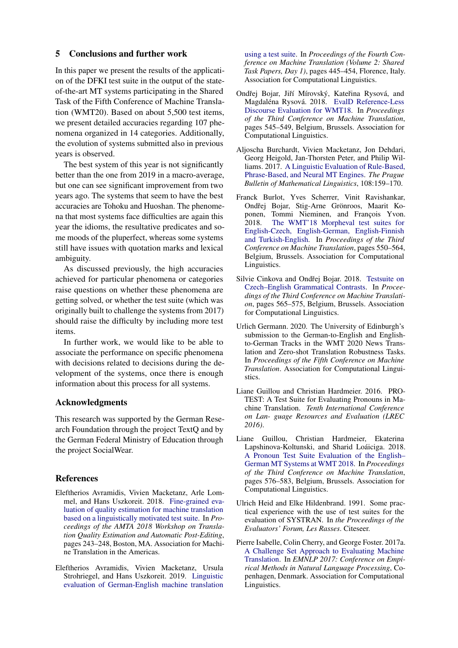## <span id="page-5-1"></span>5 Conclusions and further work

In this paper we present the results of the application of the DFKI test suite in the output of the stateof-the-art MT systems participating in the Shared Task of the Fifth Conference of Machine Translation (WMT20). Based on about 5,500 test items, we present detailed accuracies regarding 107 phenomena organized in 14 categories. Additionally, the evolution of systems submitted also in previous years is observed.

The best system of this year is not significantly better than the one from 2019 in a macro-average, but one can see significant improvement from two years ago. The systems that seem to have the best accuracies are Tohoku and Huoshan. The phenomena that most systems face difficulties are again this year the idioms, the resultative predicates and some moods of the pluperfect, whereas some systems still have issues with quotation marks and lexical ambiguity.

As discussed previously, the high accuracies achieved for particular phenomena or categories raise questions on whether these phenomena are getting solved, or whether the test suite (which was originally built to challenge the systems from 2017) should raise the difficulty by including more test items.

In further work, we would like to be able to associate the performance on specific phenomena with decisions related to decisions during the development of the systems, once there is enough information about this process for all systems.

### Acknowledgments

This research was supported by the German Research Foundation through the project TextQ and by the German Federal Ministry of Education through the project SocialWear.

### References

- <span id="page-5-5"></span>Eleftherios Avramidis, Vivien Macketanz, Arle Lommel, and Hans Uszkoreit. 2018. [Fine-grained eva](https://www.aclweb.org/anthology/W18-2107)[luation of quality estimation for machine translation](https://www.aclweb.org/anthology/W18-2107) [based on a linguistically motivated test suite.](https://www.aclweb.org/anthology/W18-2107) In *Proceedings of the AMTA 2018 Workshop on Translation Quality Estimation and Automatic Post-Editing*, pages 243–248, Boston, MA. Association for Machine Translation in the Americas.
- <span id="page-5-10"></span>Eleftherios Avramidis, Vivien Macketanz, Ursula Strohriegel, and Hans Uszkoreit. 2019. [Linguistic](https://doi.org/10.18653/v1/W19-5351) [evaluation of German-English machine translation](https://doi.org/10.18653/v1/W19-5351)

[using a test suite.](https://doi.org/10.18653/v1/W19-5351) In *Proceedings of the Fourth Conference on Machine Translation (Volume 2: Shared Task Papers, Day 1)*, pages 445–454, Florence, Italy. Association for Computational Linguistics.

- <span id="page-5-7"></span>Ondřej Bojar, Jiří Mírovský, Kateřina Rysová, and Magdaléna Rysová. 2018. [EvalD Reference-Less](http://www.aclweb.org/anthology/W18-64059) [Discourse Evaluation for WMT18.](http://www.aclweb.org/anthology/W18-64059) In *Proceedings of the Third Conference on Machine Translation*, pages 545–549, Belgium, Brussels. Association for Computational Linguistics.
- <span id="page-5-4"></span>Aljoscha Burchardt, Vivien Macketanz, Jon Dehdari, Georg Heigold, Jan-Thorsten Peter, and Philip Williams. 2017. [A Linguistic Evaluation of Rule-Based,](https://doi.org/10.1515/pralin-2017-0017) [Phrase-Based, and Neural MT Engines.](https://doi.org/10.1515/pralin-2017-0017) *The Prague Bulletin of Mathematical Linguistics*, 108:159–170.
- <span id="page-5-8"></span>Franck Burlot, Yves Scherrer, Vinit Ravishankar, Ondřej Bojar, Stig-Arne Grönroos, Maarit Koponen, Tommi Nieminen, and François Yvon. 2018. [The WMT'18 Morpheval test suites for](http://www.aclweb.org/anthology/W18-64060) [English-Czech, English-German, English-Finnish](http://www.aclweb.org/anthology/W18-64060) [and Turkish-English.](http://www.aclweb.org/anthology/W18-64060) In *Proceedings of the Third Conference on Machine Translation*, pages 550–564, Belgium, Brussels. Association for Computational Linguistics.
- <span id="page-5-6"></span>Silvie Cinkova and Ondřej Bojar. 2018. [Testsuite on](http://www.aclweb.org/anthology/W18-64061) [Czech–English Grammatical Contrasts.](http://www.aclweb.org/anthology/W18-64061) In *Proceedings of the Third Conference on Machine Translation*, pages 565–575, Belgium, Brussels. Association for Computational Linguistics.
- <span id="page-5-11"></span>Urlich Germann. 2020. The University of Edinburgh's submission to the German-to-English and Englishto-German Tracks in the WMT 2020 News Translation and Zero-shot Translation Robustness Tasks. In *Proceedings of the Fifth Conference on Machine Translation*. Association for Computational Linguistics.
- <span id="page-5-0"></span>Liane Guillou and Christian Hardmeier. 2016. PRO-TEST: A Test Suite for Evaluating Pronouns in Machine Translation. *Tenth International Conference on Lan- guage Resources and Evaluation (LREC 2016)*.
- <span id="page-5-9"></span>Liane Guillou, Christian Hardmeier, Ekaterina Lapshinova-Koltunski, and Sharid Loáiciga. 2018. [A Pronoun Test Suite Evaluation of the English–](http://www.aclweb.org/anthology/W18-64062) [German MT Systems at WMT 2018.](http://www.aclweb.org/anthology/W18-64062) In *Proceedings of the Third Conference on Machine Translation*, pages 576–583, Belgium, Brussels. Association for Computational Linguistics.
- <span id="page-5-2"></span>Ulrich Heid and Elke Hildenbrand. 1991. Some practical experience with the use of test suites for the evaluation of SYSTRAN. In *the Proceedings of the Evaluators' Forum, Les Rasses*. Citeseer.
- <span id="page-5-3"></span>Pierre Isabelle, Colin Cherry, and George Foster. 2017a. [A Challenge Set Approach to Evaluating Machine](http://arxiv.org/abs/1704.07431) [Translation.](http://arxiv.org/abs/1704.07431) In *EMNLP 2017: Conference on Empirical Methods in Natural Language Processing*, Copenhagen, Denmark. Association for Computational Linguistics.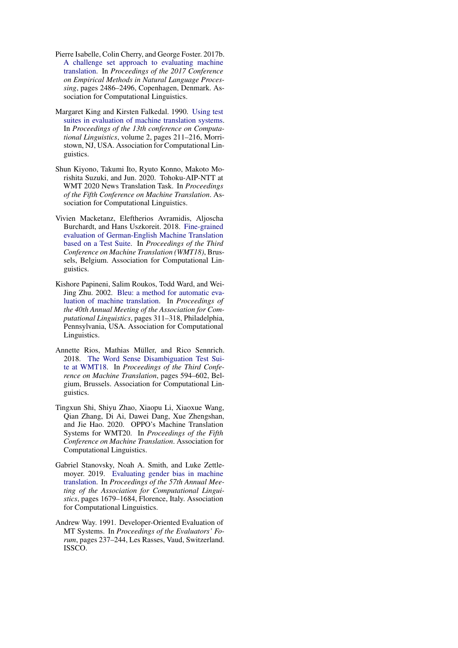- <span id="page-6-1"></span>Pierre Isabelle, Colin Cherry, and George Foster. 2017b. [A challenge set approach to evaluating machine](https://doi.org/10.18653/v1/D17-1263) [translation.](https://doi.org/10.18653/v1/D17-1263) In *Proceedings of the 2017 Conference on Empirical Methods in Natural Language Processing*, pages 2486–2496, Copenhagen, Denmark. Association for Computational Linguistics.
- <span id="page-6-2"></span>Margaret King and Kirsten Falkedal. 1990. [Using test](https://doi.org/10.3115/997939.997976) [suites in evaluation of machine translation systems.](https://doi.org/10.3115/997939.997976) In *Proceedings of the 13th conference on Computational Linguistics*, volume 2, pages 211–216, Morristown, NJ, USA. Association for Computational Linguistics.
- <span id="page-6-6"></span>Shun Kiyono, Takumi Ito, Ryuto Konno, Makoto Morishita Suzuki, and Jun. 2020. Tohoku-AIP-NTT at WMT 2020 News Translation Task. In *Proceedings of the Fifth Conference on Machine Translation*. Association for Computational Linguistics.
- <span id="page-6-5"></span>Vivien Macketanz, Eleftherios Avramidis, Aljoscha Burchardt, and Hans Uszkoreit. 2018. [Fine-grained](https://doi.org/10.18653/v1/W18-6436) [evaluation of German-English Machine Translation](https://doi.org/10.18653/v1/W18-6436) [based on a Test Suite.](https://doi.org/10.18653/v1/W18-6436) In *Proceedings of the Third Conference on Machine Translation (WMT18)*, Brussels, Belgium. Association for Computational Linguistics.
- <span id="page-6-7"></span>Kishore Papineni, Salim Roukos, Todd Ward, and Wei-Jing Zhu. 2002. [Bleu: a method for automatic eva](https://doi.org/10.3115/1073083.1073135)[luation of machine translation.](https://doi.org/10.3115/1073083.1073135) In *Proceedings of the 40th Annual Meeting of the Association for Computational Linguistics*, pages 311–318, Philadelphia, Pennsylvania, USA. Association for Computational Linguistics.
- <span id="page-6-4"></span>Annette Rios, Mathias Müller, and Rico Sennrich. 2018. [The Word Sense Disambiguation Test Sui](http://www.aclweb.org/anthology/W18-64064)[te at WMT18.](http://www.aclweb.org/anthology/W18-64064) In *Proceedings of the Third Conference on Machine Translation*, pages 594–602, Belgium, Brussels. Association for Computational Linguistics.
- <span id="page-6-8"></span>Tingxun Shi, Shiyu Zhao, Xiaopu Li, Xiaoxue Wang, Qian Zhang, Di Ai, Dawei Dang, Xue Zhengshan, and Jie Hao. 2020. OPPO's Machine Translation Systems for WMT20. In *Proceedings of the Fifth Conference on Machine Translation*. Association for Computational Linguistics.
- <span id="page-6-0"></span>Gabriel Stanovsky, Noah A. Smith, and Luke Zettlemoyer. 2019. [Evaluating gender bias in machine](https://doi.org/10.18653/v1/P19-1164) [translation.](https://doi.org/10.18653/v1/P19-1164) In *Proceedings of the 57th Annual Meeting of the Association for Computational Linguistics*, pages 1679–1684, Florence, Italy. Association for Computational Linguistics.
- <span id="page-6-3"></span>Andrew Way. 1991. Developer-Oriented Evaluation of MT Systems. In *Proceedings of the Evaluators' Forum*, pages 237–244, Les Rasses, Vaud, Switzerland. ISSCO.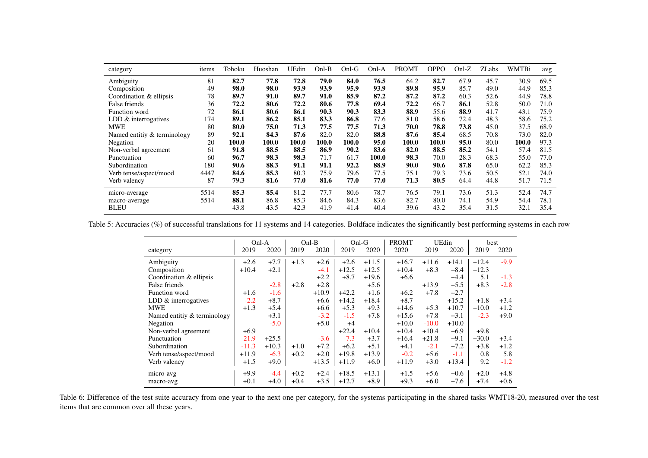| category                    | items | Tohoku | Huoshan | UEdin | $Onl-B$ | $Onl-G$ | Onl-A | <b>PROMT</b> | <b>OPPO</b> | $Onl-Z$ | <b>ZLabs</b> | <b>WMTBi</b> | avg  |
|-----------------------------|-------|--------|---------|-------|---------|---------|-------|--------------|-------------|---------|--------------|--------------|------|
| Ambiguity                   | 81    | 82.7   | 77.8    | 72.8  | 79.0    | 84.0    | 76.5  | 64.2         | 82.7        | 67.9    | 45.7         | 30.9         | 69.5 |
| Composition                 | 49    | 98.0   | 98.0    | 93.9  | 93.9    | 95.9    | 93.9  | 89.8         | 95.9        | 85.7    | 49.0         | 44.9         | 85.3 |
| Coordination & ellipsis     | 78    | 89.7   | 91.0    | 89.7  | 91.0    | 85.9    | 87.2  | 87.2         | 87.2        | 60.3    | 52.6         | 44.9         | 78.8 |
| False friends               | 36    | 72.2   | 80.6    | 72.2  | 80.6    | 77.8    | 69.4  | 72.2         | 66.7        | 86.1    | 52.8         | 50.0         | 71.0 |
| Function word               | 72    | 86.1   | 80.6    | 86.1  | 90.3    | 90.3    | 83.3  | 88.9         | 55.6        | 88.9    | 41.7         | 43.1         | 75.9 |
| LDD & interrogatives        | 174   | 89.1   | 86.2    | 85.1  | 83.3    | 86.8    | 77.6  | 81.0         | 58.6        | 72.4    | 48.3         | 58.6         | 75.2 |
| <b>MWE</b>                  | 80    | 80.0   | 75.0    | 71.3  | 77.5    | 77.5    | 71.3  | 70.0         | 78.8        | 73.8    | 45.0         | 37.5         | 68.9 |
| Named entitiv & terminology | 89    | 92.1   | 84.3    | 87.6  | 82.0    | 82.0    | 88.8  | 87.6         | 85.4        | 68.5    | 70.8         | 73.0         | 82.0 |
| Negation                    | 20    | 100.0  | 100.0   | 100.0 | 100.0   | 100.0   | 95.0  | 100.0        | 100.0       | 95.0    | 80.0         | 100.0        | 97.3 |
| Non-verbal agreement        | 61    | 91.8   | 88.5    | 88.5  | 86.9    | 90.2    | 83.6  | 82.0         | 88.5        | 85.2    | 54.1         | 57.4         | 81.5 |
| Punctuation                 | 60    | 96.7   | 98.3    | 98.3  | 71.7    | 61.7    | 100.0 | 98.3         | 70.0        | 28.3    | 68.3         | 55.0         | 77.0 |
| Subordination               | 180   | 90.6   | 88.3    | 91.1  | 91.1    | 92.2    | 88.9  | 90.0         | 90.6        | 87.8    | 65.0         | 62.2         | 85.3 |
| Verb tense/aspect/mood      | 4447  | 84.6   | 85.3    | 80.3  | 75.9    | 79.6    | 77.5  | 75.1         | 79.3        | 73.6    | 50.5         | 52.1         | 74.0 |
| Verb valency                | 87    | 79.3   | 81.6    | 77.0  | 81.6    | 77.0    | 77.0  | 71.3         | 80.5        | 64.4    | 44.8         | 51.7         | 71.5 |
| micro-average               | 5514  | 85.3   | 85.4    | 81.2  | 77.7    | 80.6    | 78.7  | 76.5         | 79.1        | 73.6    | 51.3         | 52.4         | 74.7 |
| macro-average               | 5514  | 88.1   | 86.8    | 85.3  | 84.6    | 84.3    | 83.6  | 82.7         | 80.0        | 74.1    | 54.9         | 54.4         | 78.1 |
| <b>BLEU</b>                 |       | 43.8   | 43.5    | 42.3  | 41.9    | 41.4    | 40.4  | 39.6         | 43.2        | 35.4    | 31.5         | 32.1         | 35.4 |

Table 5: Accuracies (%) of successful translations for 11 systems and 14 categories. Boldface indicates the significantly best performing systems in each row

|                             | Onl-A   |         | $Onl-B$ |         |         | $Onl-G$ | <b>PROMT</b> | UEdin   |         | best    |        |
|-----------------------------|---------|---------|---------|---------|---------|---------|--------------|---------|---------|---------|--------|
| category                    | 2019    | 2020    | 2019    | 2020    | 2019    | 2020    | 2020         | 2019    | 2020    | 2019    | 2020   |
| Ambiguity                   | $+2.6$  | $+7.7$  | $+1.3$  | $+2.6$  | $+2.6$  | $+11.5$ | $+16.7$      | $+11.6$ | $+14.1$ | $+12.4$ | $-9.9$ |
| Composition                 | $+10.4$ | $+2.1$  |         | $-4.1$  | $+12.5$ | $+12.5$ | $+10.4$      | $+8.3$  | $+8.4$  | $+12.3$ |        |
| Coordination & ellipsis     |         |         |         | $+2.2$  | $+8.7$  | $+19.6$ | $+6.6$       |         | $+4.4$  | 5.1     | $-1.3$ |
| False friends               |         | $-2.8$  | $+2.8$  | $+2.8$  |         | $+5.6$  |              | $+13.9$ | $+5.5$  | $+8.3$  | $-2.8$ |
| Function word               | $+1.6$  | $-1.6$  |         | $+10.9$ | $+42.2$ | $+1.6$  | $+6.2$       | $+7.8$  | $+2.7$  |         |        |
| LDD & interrogatives        | $-2.2$  | $+8.7$  |         | $+6.6$  | $+14.2$ | $+18.4$ | $+8.7$       |         | $+15.2$ | $+1.8$  | $+3.4$ |
| <b>MWE</b>                  | $+1.3$  | $+5.4$  |         | $+6.6$  | $+5.3$  | $+9.3$  | $+14.6$      | $+5.3$  | $+10.7$ | $+10.0$ | $+1.2$ |
| Named entitiv & terminology |         | $+3.1$  |         | $-3.2$  | $-1.5$  | $+7.8$  | $+15.6$      | $+7.8$  | $+3.1$  | $-2.3$  | $+9.0$ |
| Negation                    |         | $-5.0$  |         | $+5.0$  | $+4$    |         | $+10.0$      | $-10.0$ | $+10.0$ |         |        |
| Non-verbal agreement        | $+6.9$  |         |         |         | $+22.4$ | $+10.4$ | $+10.4$      | $+10.4$ | $+6.9$  | $+9.8$  |        |
| Punctuation                 | $-21.9$ | $+25.5$ |         | $-3.6$  | $-7.3$  | $+3.7$  | $+16.4$      | $+21.8$ | $+9.1$  | $+30.0$ | $+3.4$ |
| Subordination               | $-11.3$ | $+10.3$ | $+1.0$  | $+7.2$  | $+6.2$  | $+5.1$  | $+4.1$       | $-2.1$  | $+7.2$  | $+3.8$  | $+1.2$ |
| Verb tense/aspect/mood      | $+11.9$ | $-6.3$  | $+0.2$  | $+2.0$  | $+19.8$ | $+13.9$ | $-0.2$       | $+5.6$  | $-1.1$  | 0.8     | 5.8    |
| Verb valency                | $+1.5$  | $+9.0$  |         | $+13.5$ | $+11.9$ | $+6.0$  | $+11.9$      | $+3.0$  | $+13.4$ | 9.2     | $-1.2$ |
| micro-avg                   | $+9.9$  | $-4.4$  | $+0.2$  | $+2.4$  | $+18.5$ | $+13.1$ | $+1.5$       | $+5.6$  | $+0.6$  | $+2.0$  | $+4.8$ |
| macro-avg                   | $+0.1$  | $+4.0$  | $+0.4$  | $+3.5$  | $+12.7$ | $+8.9$  | $+9.3$       | $+6.0$  | $+7.6$  | $+7.4$  | $+0.6$ |

<span id="page-7-1"></span><span id="page-7-0"></span>Table 6: Difference of the test suite accuracy from one year to the next one per category, for the systems participating in the shared tasks WMT18-20, measured over the test items that are common over all these years.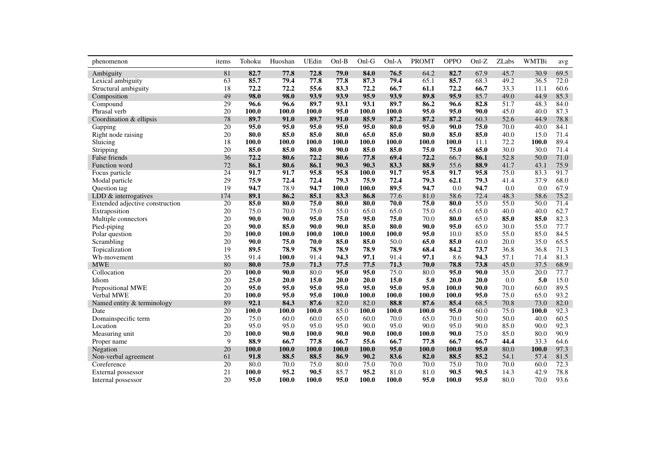<span id="page-8-0"></span>

| phenomenon                      | items | Tohoku | Huoshan | UEdin | Onl-B | Onl-G | Onl-A | <b>PROMT</b> | <b>OPPO</b> | $Onl-Z$ | ZLabs | <b>WMTBi</b> | avg  |
|---------------------------------|-------|--------|---------|-------|-------|-------|-------|--------------|-------------|---------|-------|--------------|------|
| Ambiguity                       | 81    | 82.7   | 77.8    | 72.8  | 79.0  | 84.0  | 76.5  | 64.2         | 82.7        | 67.9    | 45.7  | 30.9         | 69.5 |
| Lexical ambiguity               | 63    | 85.7   | 79.4    | 77.8  | 77.8  | 87.3  | 79.4  | 65.1         | 85.7        | 68.3    | 49.2  | 36.5         | 72.0 |
| Structural ambiguity            | 18    | 72.2   | 72.2    | 55.6  | 83.3  | 72.2  | 66.7  | 61.1         | 72.2        | 66.7    | 33.3  | 11.1         | 60.6 |
| Composition                     | 49    | 98.0   | 98.0    | 93.9  | 93.9  | 95.9  | 93.9  | 89.8         | 95.9        | 85.7    | 49.0  | 44.9         | 85.3 |
| Compound                        | 29    | 96.6   | 96.6    | 89.7  | 93.1  | 93.1  | 89.7  | 86.2         | 96.6        | 82.8    | 51.7  | 48.3         | 84.0 |
| Phrasal verb                    | 20    | 100.0  | 100.0   | 100.0 | 95.0  | 100.0 | 100.0 | 95.0         | 95.0        | 90.0    | 45.0  | 40.0         | 87.3 |
| Coordination & ellipsis         | 78    | 89.7   | 91.0    | 89.7  | 91.0  | 85.9  | 87.2  | 87.2         | 87.2        | 60.3    | 52.6  | 44.9         | 78.8 |
| Gapping                         | 20    | 95.0   | 95.0    | 95.0  | 95.0  | 95.0  | 80.0  | 95.0         | 90.0        | 75.0    | 70.0  | 40.0         | 84.1 |
| Right node raising              | 20    | 80.0   | 85.0    | 85.0  | 80.0  | 65.0  | 85.0  | 80.0         | 85.0        | 85.0    | 40.0  | 15.0         | 71.4 |
| Sluicing                        | 18    | 100.0  | 100.0   | 100.0 | 100.0 | 100.0 | 100.0 | 100.0        | 100.0       | 11.1    | 72.2  | 100.0        | 89.4 |
| Stripping                       | 20    | 85.0   | 85.0    | 80.0  | 90.0  | 85.0  | 85.0  | 75.0         | 75.0        | 65.0    | 30.0  | 30.0         | 71.4 |
| False friends                   | 36    | 72.2   | 80.6    | 72.2  | 80.6  | 77.8  | 69.4  | 72.2         | 66.7        | 86.1    | 52.8  | 50.0         | 71.0 |
| Function word                   | 72    | 86.1   | 80.6    | 86.1  | 90.3  | 90.3  | 83.3  | 88.9         | 55.6        | 88.9    | 41.7  | 43.1         | 75.9 |
| Focus particle                  | 24    | 91.7   | 91.7    | 95.8  | 95.8  | 100.0 | 91.7  | 95.8         | 91.7        | 95.8    | 75.0  | 83.3         | 91.7 |
| Modal particle                  | 29    | 75.9   | 72.4    | 72.4  | 79.3  | 75.9  | 72.4  | 79.3         | 62.1        | 79.3    | 41.4  | 37.9         | 68.0 |
| Question tag                    | 19    | 94.7   | 78.9    | 94.7  | 100.0 | 100.0 | 89.5  | 94.7         | 0.0         | 94.7    | 0.0   | 0.0          | 67.9 |
| LDD $&$ interrogatives          | 174   | 89.1   | 86.2    | 85.1  | 83.3  | 86.8  | 77.6  | 81.0         | 58.6        | 72.4    | 48.3  | 58.6         | 75.2 |
| Extended adjective construction | 20    | 85.0   | 80.0    | 75.0  | 80.0  | 80.0  | 70.0  | 75.0         | 80.0        | 55.0    | 55.0  | 50.0         | 71.4 |
| Extraposition                   | 20    | 75.0   | 70.0    | 75.0  | 55.0  | 65.0  | 65.0  | 75.0         | 65.0        | 65.0    | 40.0  | 40.0         | 62.7 |
| Multiple connectors             | 20    | 90.0   | 90.0    | 95.0  | 75.0  | 95.0  | 75.0  | 70.0         | 80.0        | 65.0    | 85.0  | 85.0         | 82.3 |
| Pied-piping                     | 20    | 90.0   | 85.0    | 90.0  | 90.0  | 85.0  | 80.0  | 90.0         | 95.0        | 65.0    | 30.0  | 55.0         | 77.7 |
| Polar question                  | 20    | 100.0  | 100.0   | 100.0 | 100.0 | 100.0 | 100.0 | 95.0         | 10.0        | 85.0    | 55.0  | 85.0         | 84.5 |
| Scrambling                      | 20    | 90.0   | 75.0    | 70.0  | 85.0  | 85.0  | 50.0  | 65.0         | 85.0        | 60.0    | 20.0  | 35.0         | 65.5 |
| Topicalization                  | 19    | 89.5   | 78.9    | 78.9  | 78.9  | 78.9  | 78.9  | 68.4         | 84.2        | 73.7    | 36.8  | 36.8         | 71.3 |
| Wh-movement                     | 35    | 91.4   | 100.0   | 91.4  | 94.3  | 97.1  | 91.4  | 97.1         | 8.6         | 94.3    | 57.1  | 71.4         | 81.3 |
| <b>MWE</b>                      | 80    | 80.0   | 75.0    | 71.3  | 77.5  | 77.5  | 71.3  | 70.0         | 78.8        | 73.8    | 45.0  | 37.5         | 68.9 |
| Collocation                     | 20    | 100.0  | 90.0    | 80.0  | 95.0  | 95.0  | 75.0  | 80.0         | 95.0        | 90.0    | 35.0  | 20.0         | 77.7 |
| Idiom                           | 20    | 25.0   | 20.0    | 15.0  | 20.0  | 20.0  | 15.0  | 5.0          | 20.0        | 20.0    | 0.0   | 5.0          | 15.0 |
| Prepositional MWE               | 20    | 95.0   | 95.0    | 95.0  | 95.0  | 95.0  | 95.0  | 95.0         | 100.0       | 90.0    | 70.0  | 60.0         | 89.5 |
| Verbal MWE                      | 20    | 100.0  | 95.0    | 95.0  | 100.0 | 100.0 | 100.0 | 100.0        | 100.0       | 95.0    | 75.0  | 65.0         | 93.2 |
| Named entity & terminology      | 89    | 92.1   | 84.3    | 87.6  | 82.0  | 82.0  | 88.8  | 87.6         | 85.4        | 68.5    | 70.8  | 73.0         | 82.0 |
| Date                            | 20    | 100.0  | 100.0   | 100.0 | 85.0  | 100.0 | 100.0 | 100.0        | 95.0        | 60.0    | 75.0  | 100.0        | 92.3 |
| Domainspecific term             | 20    | 75.0   | 60.0    | 60.0  | 65.0  | 60.0  | 70.0  | 65.0         | 70.0        | 50.0    | 50.0  | 40.0         | 60.5 |
| Location                        | 20    | 95.0   | 95.0    | 95.0  | 95.0  | 90.0  | 95.0  | 90.0         | 95.0        | 90.0    | 85.0  | 90.0         | 92.3 |
| Measuring unit                  | 20    | 100.0  | 90.0    | 100.0 | 90.0  | 90.0  | 100.0 | 100.0        | 90.0        | 75.0    | 85.0  | 80.0         | 90.9 |
| Proper name                     | 9     | 88.9   | 66.7    | 77.8  | 66.7  | 55.6  | 66.7  | 77.8         | 66.7        | 66.7    | 44.4  | 33.3         | 64.6 |
| Negation                        | 20    | 100.0  | 100.0   | 100.0 | 100.0 | 100.0 | 95.0  | 100.0        | 100.0       | 95.0    | 80.0  | 100.0        | 97.3 |
| Non-verbal agreement            | 61    | 91.8   | 88.5    | 88.5  | 86.9  | 90.2  | 83.6  | 82.0         | 88.5        | 85.2    | 54.1  | 57.4         | 81.5 |
| Coreference                     | 20    | 80.0   | 70.0    | 75.0  | 80.0  | 75.0  | 70.0  | 70.0         | 75.0        | 70.0    | 70.0  | 60.0         | 72.3 |
| External possessor              | 21    | 100.0  | 95.2    | 90.5  | 85.7  | 95.2  | 81.0  | 81.0         | 90.5        | 90.5    | 14.3  | 42.9         | 78.8 |
| Internal possessor              | 20    | 95.0   | 100.0   | 100.0 | 95.0  | 100.0 | 100.0 | 95.0         | 100.0       | 95.0    | 80.0  | 70.0         | 93.6 |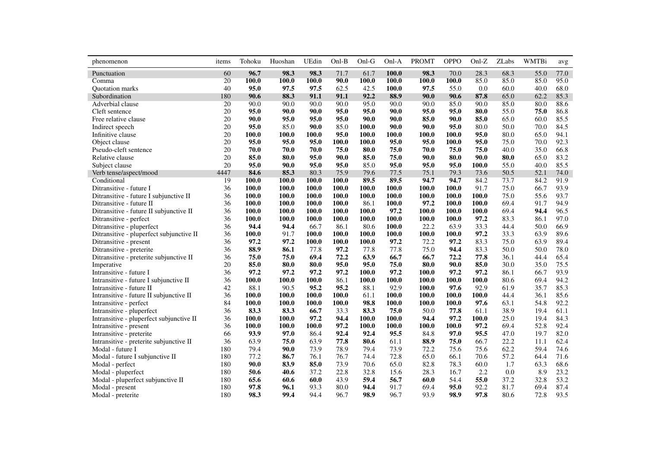| phenomenon                               | items | Tohoku | Huoshan | UEdin | $Onl-B$ | Onl-G | Onl-A | <b>PROMT</b> | <b>OPPO</b> | $Onl-Z$ | <b>ZLabs</b> | <b>WMTBi</b> | avg  |
|------------------------------------------|-------|--------|---------|-------|---------|-------|-------|--------------|-------------|---------|--------------|--------------|------|
| Punctuation                              | 60    | 96.7   | 98.3    | 98.3  | 71.7    | 61.7  | 100.0 | 98.3         | 70.0        | 28.3    | 68.3         | 55.0         | 77.0 |
| Comma                                    | 20    | 100.0  | 100.0   | 100.0 | 90.0    | 100.0 | 100.0 | 100.0        | 100.0       | 85.0    | 85.0         | 85.0         | 95.0 |
| Quotation marks                          | 40    | 95.0   | 97.5    | 97.5  | 62.5    | 42.5  | 100.0 | 97.5         | 55.0        | 0.0     | 60.0         | 40.0         | 68.0 |
| Subordination                            | 180   | 90.6   | 88.3    | 91.1  | 91.1    | 92.2  | 88.9  | 90.0         | 90.6        | 87.8    | 65.0         | 62.2         | 85.3 |
| Adverbial clause                         | 20    | 90.0   | 90.0    | 90.0  | 90.0    | 95.0  | 90.0  | 90.0         | 85.0        | 90.0    | 85.0         | 80.0         | 88.6 |
| Cleft sentence                           | 20    | 95.0   | 90.0    | 90.0  | 95.0    | 95.0  | 90.0  | 95.0         | 95.0        | 80.0    | 55.0         | 75.0         | 86.8 |
| Free relative clause                     | 20    | 90.0   | 95.0    | 95.0  | 95.0    | 90.0  | 90.0  | 85.0         | 90.0        | 85.0    | 65.0         | 60.0         | 85.5 |
| Indirect speech                          | 20    | 95.0   | 85.0    | 90.0  | 85.0    | 100.0 | 90.0  | 90.0         | 95.0        | 80.0    | 50.0         | 70.0         | 84.5 |
| Infinitive clause                        | 20    | 100.0  | 100.0   | 100.0 | 95.0    | 100.0 | 100.0 | 100.0        | 100.0       | 95.0    | 80.0         | 65.0         | 94.1 |
| Object clause                            | 20    | 95.0   | 95.0    | 95.0  | 100.0   | 100.0 | 95.0  | 95.0         | 100.0       | 95.0    | 75.0         | 70.0         | 92.3 |
| Pseudo-cleft sentence                    | 20    | 70.0   | 70.0    | 70.0  | 75.0    | 80.0  | 75.0  | 70.0         | 75.0        | 75.0    | 40.0         | 35.0         | 66.8 |
| Relative clause                          | 20    | 85.0   | 80.0    | 95.0  | 90.0    | 85.0  | 75.0  | 90.0         | 80.0        | 90.0    | 80.0         | 65.0         | 83.2 |
| Subject clause                           | 20    | 95.0   | 90.0    | 95.0  | 95.0    | 85.0  | 95.0  | 95.0         | 95.0        | 100.0   | 55.0         | 40.0         | 85.5 |
| Verb tense/aspect/mood                   | 4447  | 84.6   | 85.3    | 80.3  | 75.9    | 79.6  | 77.5  | 75.1         | 79.3        | 73.6    | 50.5         | 52.1         | 74.0 |
| Conditional                              | 19    | 100.0  | 100.0   | 100.0 | 100.0   | 89.5  | 89.5  | 94.7         | 94.7        | 84.2    | 73.7         | 84.2         | 91.9 |
| Ditransitive - future I                  | 36    | 100.0  | 100.0   | 100.0 | 100.0   | 100.0 | 100.0 | 100.0        | 100.0       | 91.7    | 75.0         | 66.7         | 93.9 |
| Ditransitive - future I subjunctive II   | 36    | 100.0  | 100.0   | 100.0 | 100.0   | 100.0 | 100.0 | 100.0        | 100.0       | 100.0   | 75.0         | 55.6         | 93.7 |
| Ditransitive - future II                 | 36    | 100.0  | 100.0   | 100.0 | 100.0   | 86.1  | 100.0 | 97.2         | 100.0       | 100.0   | 69.4         | 91.7         | 94.9 |
| Ditransitive - future II subjunctive II  | 36    | 100.0  | 100.0   | 100.0 | 100.0   | 100.0 | 97.2  | 100.0        | 100.0       | 100.0   | 69.4         | 94.4         | 96.5 |
| Ditransitive - perfect                   | 36    | 100.0  | 100.0   | 100.0 | 100.0   | 100.0 | 100.0 | 100.0        | 100.0       | 97.2    | 83.3         | 86.1         | 97.0 |
| Ditransitive - pluperfect                | 36    | 94.4   | 94.4    | 66.7  | 86.1    | 80.6  | 100.0 | 22.2         | 63.9        | 33.3    | 44.4         | 50.0         | 66.9 |
| Ditransitive - pluperfect subjunctive II | 36    | 100.0  | 91.7    | 100.0 | 100.0   | 100.0 | 100.0 | 100.0        | 100.0       | 97.2    | 33.3         | 63.9         | 89.6 |
| Ditransitive - present                   | 36    | 97.2   | 97.2    | 100.0 | 100.0   | 100.0 | 97.2  | 72.2         | 97.2        | 83.3    | 75.0         | 63.9         | 89.4 |
| Ditransitive - preterite                 | 36    | 88.9   | 86.1    | 77.8  | 97.2    | 77.8  | 77.8  | 75.0         | 94.4        | 83.3    | 50.0         | 50.0         | 78.0 |
| Ditransitive - preterite subjunctive II  | 36    | 75.0   | 75.0    | 69.4  | 72.2    | 63.9  | 66.7  | 66.7         | 72.2        | 77.8    | 36.1         | 44.4         | 65.4 |
| Imperative                               | 20    | 85.0   | 80.0    | 80.0  | 95.0    | 95.0  | 75.0  | 80.0         | 90.0        | 85.0    | 30.0         | 35.0         | 75.5 |
| Intransitive - future I                  | 36    | 97.2   | 97.2    | 97.2  | 97.2    | 100.0 | 97.2  | 100.0        | 97.2        | 97.2    | 86.1         | 66.7         | 93.9 |
| Intransitive - future I subjunctive II   | 36    | 100.0  | 100.0   | 100.0 | 86.1    | 100.0 | 100.0 | 100.0        | 100.0       | 100.0   | 80.6         | 69.4         | 94.2 |
| Intransitive - future II                 | 42    | 88.1   | 90.5    | 95.2  | 95.2    | 88.1  | 92.9  | 100.0        | 97.6        | 92.9    | 61.9         | 35.7         | 85.3 |
| Intransitive - future II subjunctive II  | 36    | 100.0  | 100.0   | 100.0 | 100.0   | 61.1  | 100.0 | 100.0        | 100.0       | 100.0   | 44.4         | 36.1         | 85.6 |
| Intransitive - perfect                   | 84    | 100.0  | 100.0   | 100.0 | 100.0   | 98.8  | 100.0 | 100.0        | 100.0       | 97.6    | 63.1         | 54.8         | 92.2 |
| Intransitive - pluperfect                | 36    | 83.3   | 83.3    | 66.7  | 33.3    | 83.3  | 75.0  | 50.0         | 77.8        | 61.1    | 38.9         | 19.4         | 61.1 |
| Intransitive - pluperfect subjunctive II | 36    | 100.0  | 100.0   | 97.2  | 94.4    | 100.0 | 100.0 | 94.4         | 97.2        | 100.0   | 25.0         | 19.4         | 84.3 |
| Intransitive - present                   | 36    | 100.0  | 100.0   | 100.0 | 97.2    | 100.0 | 100.0 | 100.0        | 100.0       | 97.2    | 69.4         | 52.8         | 92.4 |
| Intransitive - preterite                 | 66    | 93.9   | 97.0    | 86.4  | 92.4    | 92.4  | 95.5  | 84.8         | 97.0        | 95.5    | 47.0         | 19.7         | 82.0 |
| Intransitive - preterite subjunctive II  | 36    | 63.9   | 75.0    | 63.9  | 77.8    | 80.6  | 61.1  | 88.9         | 75.0        | 66.7    | 22.2         | 11.1         | 62.4 |
| Modal - future I                         | 180   | 79.4   | 90.0    | 73.9  | 78.9    | 79.4  | 73.9  | 72.2         | 75.6        | 75.6    | 62.2         | 59.4         | 74.6 |
| Modal - future I subjunctive II          | 180   | 77.2   | 86.7    | 76.1  | 76.7    | 74.4  | 72.8  | 65.0         | 66.1        | 70.6    | 57.2         | 64.4         | 71.6 |
| Modal - perfect                          | 180   | 90.0   | 83.9    | 85.0  | 73.9    | 70.6  | 65.0  | 82.8         | 78.3        | 60.0    | 1.7          | 63.3         | 68.6 |
| Modal - pluperfect                       | 180   | 50.6   | 40.6    | 37.2  | 22.8    | 32.8  | 15.6  | 28.3         | 16.7        | 2.2     | 0.0          | 8.9          | 23.2 |
| Modal - pluperfect subjunctive II        | 180   | 65.6   | 60.6    | 60.0  | 43.9    | 59.4  | 56.7  | 60.0         | 54.4        | 55.0    | 37.2         | 32.8         | 53.2 |
| Modal - present                          | 180   | 97.8   | 96.1    | 93.3  | 80.0    | 94.4  | 91.7  | 69.4         | 95.0        | 92.2    | 81.7         | 69.4         | 87.4 |
| Modal - preterite                        | 180   | 98.3   | 99.4    | 94.4  | 96.7    | 98.9  | 96.7  | 93.9         | 98.9        | 97.8    | 80.6         | 72.8         | 93.5 |